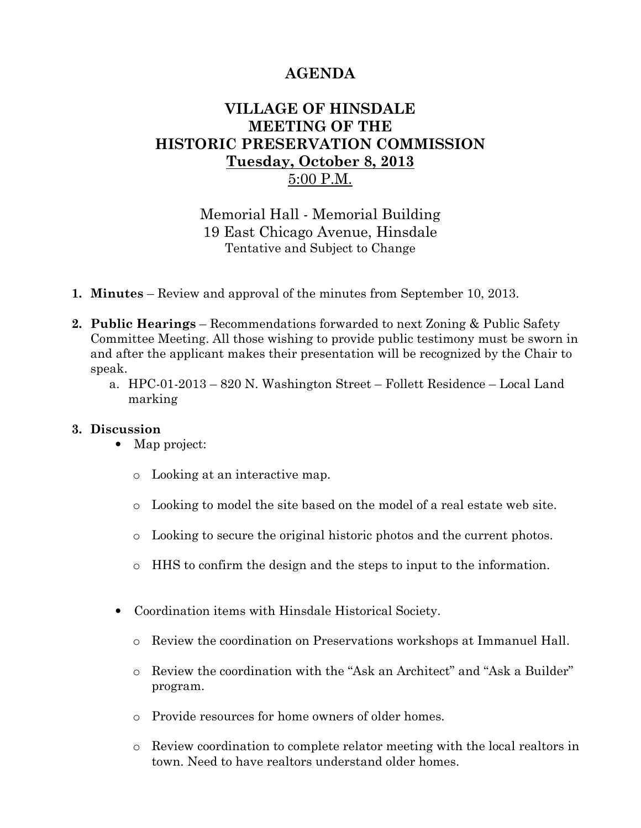## AGENDA

## VILLAGE OF HINSDALE MEETING OF THE HISTORIC PRESERVATION COMMISSION Tuesday, October 8, 2013 5:00 P.M.

Memorial Hall - Memorial Building 19 East Chicago Avenue, Hinsdale Tentative and Subject to Change

- 1. Minutes Review and approval of the minutes from September 10, 2013.
- 2. Public Hearings Recommendations forwarded to next Zoning & Public Safety Committee Meeting. All those wishing to provide public testimony must be sworn in and after the applicant makes their presentation will be recognized by the Chair to speak.
	- a. HPC-01-2013 820 N. Washington Street Follett Residence Local Land marking

## 3. Discussion

- Map project:
	- o Looking at an interactive map.
	- o Looking to model the site based on the model of a real estate web site.
	- o Looking to secure the original historic photos and the current photos.
	- $\circ$  HHS to confirm the design and the steps to input to the information.
- Coordination items with Hinsdale Historical Society.
	- o Review the coordination on Preservations workshops at Immanuel Hall.
	- o Review the coordination with the "Ask an Architect" and "Ask a Builder" program.
	- o Provide resources for home owners of older homes.
	- o Review coordination to complete relator meeting with the local realtors in town. Need to have realtors understand older homes.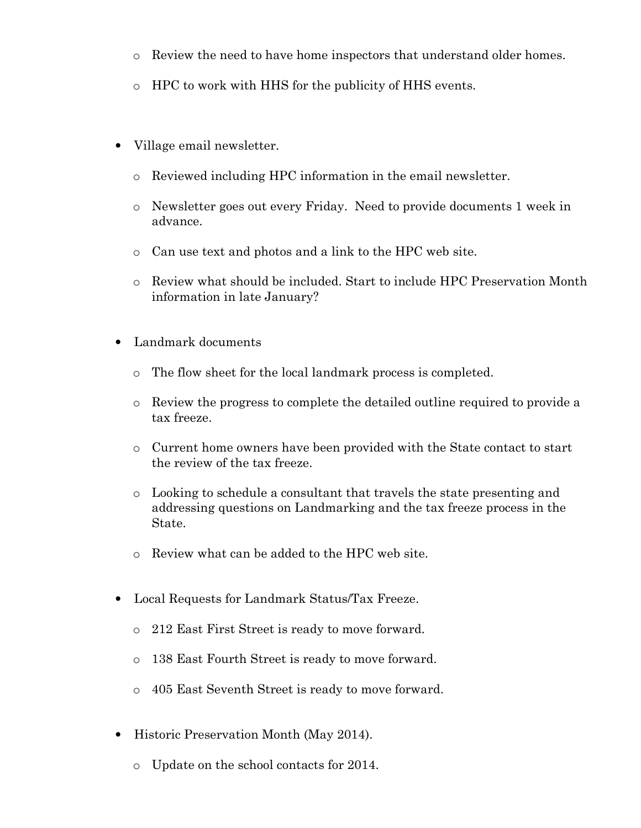- o Review the need to have home inspectors that understand older homes.
- o HPC to work with HHS for the publicity of HHS events.
- Village email newsletter.
	- o Reviewed including HPC information in the email newsletter.
	- o Newsletter goes out every Friday. Need to provide documents 1 week in advance.
	- o Can use text and photos and a link to the HPC web site.
	- o Review what should be included. Start to include HPC Preservation Month information in late January?
- Landmark documents
	- o The flow sheet for the local landmark process is completed.
	- o Review the progress to complete the detailed outline required to provide a tax freeze.
	- o Current home owners have been provided with the State contact to start the review of the tax freeze.
	- o Looking to schedule a consultant that travels the state presenting and addressing questions on Landmarking and the tax freeze process in the State.
	- o Review what can be added to the HPC web site.
- Local Requests for Landmark Status/Tax Freeze.
	- o 212 East First Street is ready to move forward.
	- o 138 East Fourth Street is ready to move forward.
	- o 405 East Seventh Street is ready to move forward.
- Historic Preservation Month (May 2014).
	- o Update on the school contacts for 2014.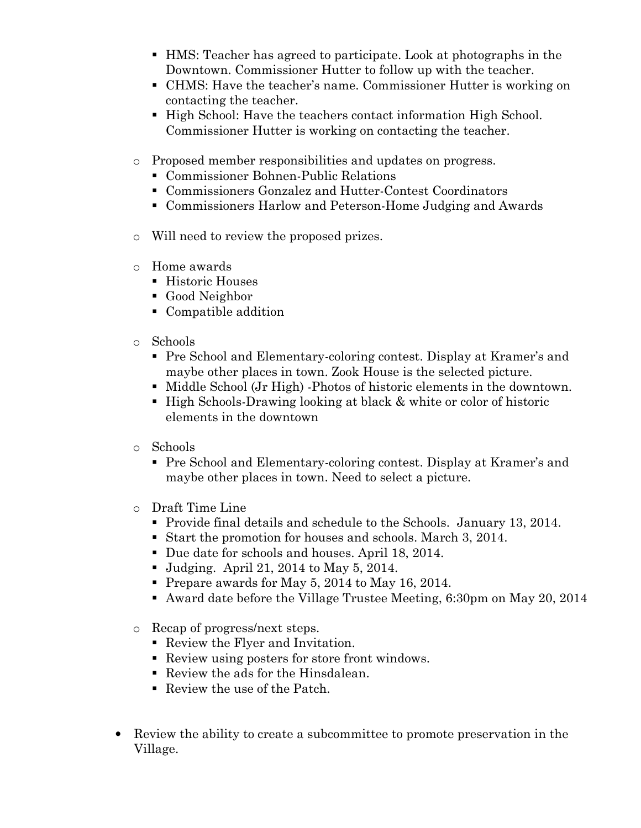- HMS: Teacher has agreed to participate. Look at photographs in the Downtown. Commissioner Hutter to follow up with the teacher.
- CHMS: Have the teacher's name. Commissioner Hutter is working on contacting the teacher.
- **High School: Have the teachers contact information High School.** Commissioner Hutter is working on contacting the teacher.
- o Proposed member responsibilities and updates on progress.
	- Commissioner Bohnen-Public Relations
	- Commissioners Gonzalez and Hutter-Contest Coordinators
	- Commissioners Harlow and Peterson-Home Judging and Awards
- o Will need to review the proposed prizes.
- o Home awards
	- Historic Houses
	- Good Neighbor
	- Compatible addition
- o Schools
	- Pre School and Elementary-coloring contest. Display at Kramer's and maybe other places in town. Zook House is the selected picture.
	- Middle School (Jr High) -Photos of historic elements in the downtown.
	- High Schools-Drawing looking at black & white or color of historic elements in the downtown
- o Schools
	- Pre School and Elementary-coloring contest. Display at Kramer's and maybe other places in town. Need to select a picture.
- o Draft Time Line
	- Provide final details and schedule to the Schools. January 13, 2014.
	- Start the promotion for houses and schools. March 3, 2014.
	- Due date for schools and houses. April 18, 2014.
	- **Judging.** April 21, 2014 to May 5, 2014.
	- Prepare awards for May 5, 2014 to May 16, 2014.
	- Award date before the Village Trustee Meeting, 6:30pm on May 20, 2014
- o Recap of progress/next steps.
	- Review the Flyer and Invitation.
	- Review using posters for store front windows.
	- Review the ads for the Hinsdalean.
	- Review the use of the Patch.
- Review the ability to create a subcommittee to promote preservation in the Village.